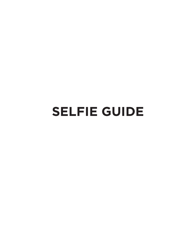# **SELFIE GUIDE**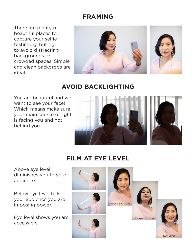### **FRAMING**

There are plenty of beautiful places to capture your selfie testimony, but try to avoid distracting backgrounds or crowded spaces. Simple and clean backdrops are ideal.



# **AVOID BACKLIGHTING**

You are beautiful and we want to see your face! Which means make sure your main source of light is facing you and not behind you.



### **FILM AT EYE LEVEL**

Above eye level diminishes you to your audience.

Below eye level tells your audience you are imposing power.

Eye level shows you are accessible.



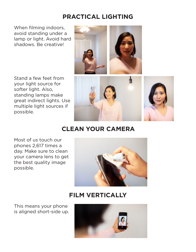## **PRACTICAL LIGHTING**

When filming indoors, avoid standing under a lamp or light. Avoid hard shadows. Be creative!

Stand a few feet from your light source for softer light. Also, standing lamps make great indirect lights. Use multiple light sources if possible.



## **CLEAN YOUR CAMERA**

Most of us touch our phones 2,617 times a day. Make sure to clean your camera lens to get the best quality image possible.



### **FILM VERTICALLY**

This means your phone is aligned short-side up.